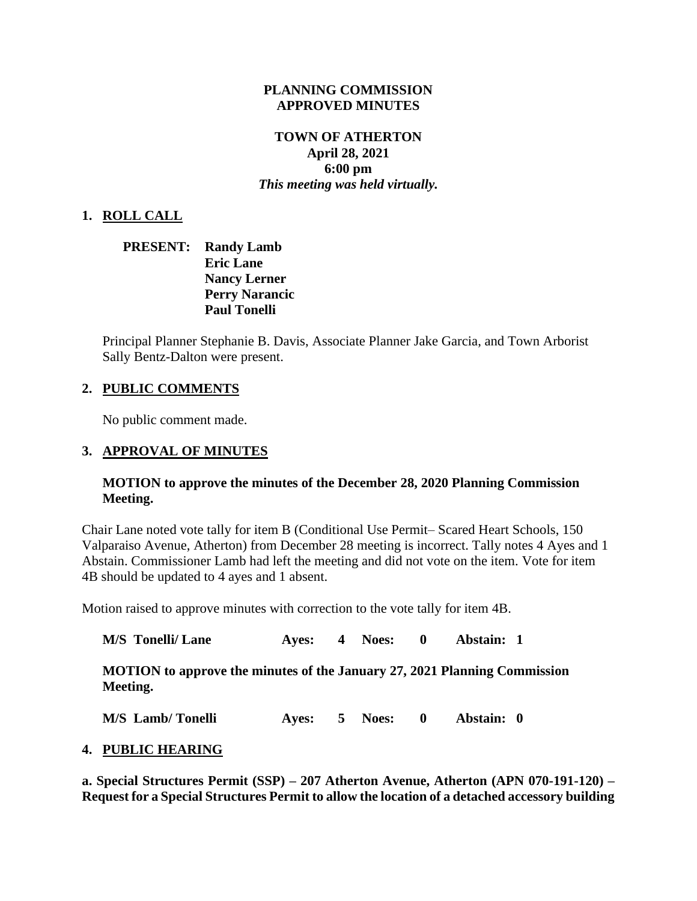#### **PLANNING COMMISSION APPROVED MINUTES**

# **TOWN OF ATHERTON April 28, 2021 6:00 pm** *This meeting was held virtually.*

## **1. ROLL CALL**

| <b>PRESENT:</b> | <b>Randy Lamb</b>     |
|-----------------|-----------------------|
|                 | <b>Eric Lane</b>      |
|                 | <b>Nancy Lerner</b>   |
|                 | <b>Perry Narancic</b> |
|                 | <b>Paul Tonelli</b>   |

Principal Planner Stephanie B. Davis, Associate Planner Jake Garcia, and Town Arborist Sally Bentz-Dalton were present.

## **2. PUBLIC COMMENTS**

No public comment made.

#### **3. APPROVAL OF MINUTES**

#### **MOTION to approve the minutes of the December 28, 2020 Planning Commission Meeting.**

Chair Lane noted vote tally for item B (Conditional Use Permit– Scared Heart Schools, 150 Valparaiso Avenue, Atherton) from December 28 meeting is incorrect. Tally notes 4 Ayes and 1 Abstain. Commissioner Lamb had left the meeting and did not vote on the item. Vote for item 4B should be updated to 4 ayes and 1 absent.

Motion raised to approve minutes with correction to the vote tally for item 4B.

| <b>M/S</b> Tonelli/ Lane                                                              |  | Ayes: 4 Noes: 0 | Abstain: 1 |
|---------------------------------------------------------------------------------------|--|-----------------|------------|
| MOTION to approve the minutes of the January 27, 2021 Planning Commission<br>Meeting. |  |                 |            |

**M/S Lamb/ Tonelli Ayes: 5 Noes: 0 Abstain: 0**

#### **4. PUBLIC HEARING**

**a. Special Structures Permit (SSP) – 207 Atherton Avenue, Atherton (APN 070-191-120) – Request for a Special Structures Permit to allow the location of a detached accessory building**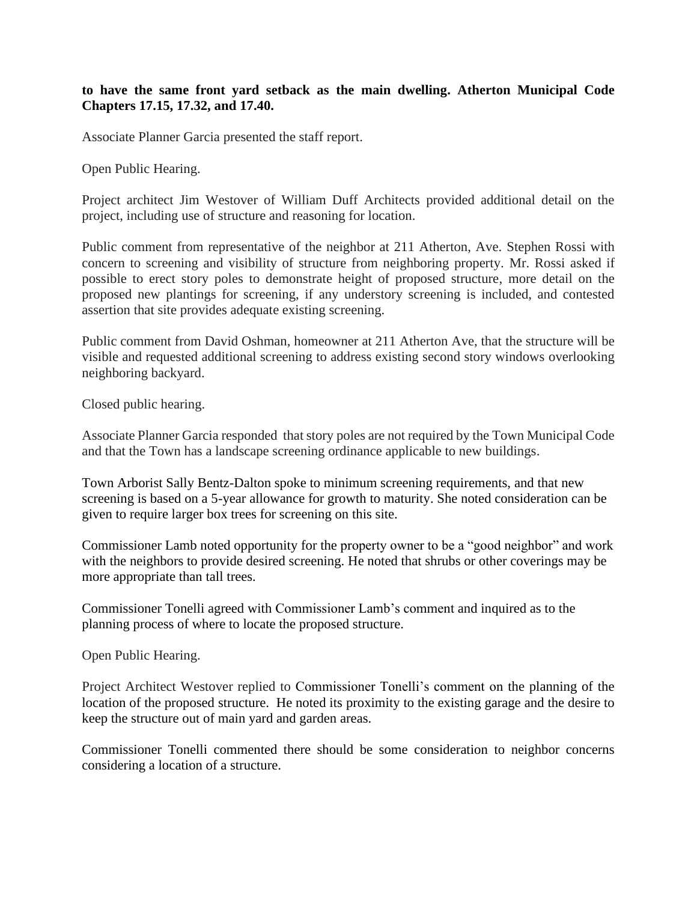### **to have the same front yard setback as the main dwelling. Atherton Municipal Code Chapters 17.15, 17.32, and 17.40.**

Associate Planner Garcia presented the staff report.

Open Public Hearing.

Project architect Jim Westover of William Duff Architects provided additional detail on the project, including use of structure and reasoning for location.

Public comment from representative of the neighbor at 211 Atherton, Ave. Stephen Rossi with concern to screening and visibility of structure from neighboring property. Mr. Rossi asked if possible to erect story poles to demonstrate height of proposed structure, more detail on the proposed new plantings for screening, if any understory screening is included, and contested assertion that site provides adequate existing screening.

Public comment from David Oshman, homeowner at 211 Atherton Ave, that the structure will be visible and requested additional screening to address existing second story windows overlooking neighboring backyard.

Closed public hearing.

Associate Planner Garcia responded that story poles are not required by the Town Municipal Code and that the Town has a landscape screening ordinance applicable to new buildings.

Town Arborist Sally Bentz-Dalton spoke to minimum screening requirements, and that new screening is based on a 5-year allowance for growth to maturity. She noted consideration can be given to require larger box trees for screening on this site.

Commissioner Lamb noted opportunity for the property owner to be a "good neighbor" and work with the neighbors to provide desired screening. He noted that shrubs or other coverings may be more appropriate than tall trees.

Commissioner Tonelli agreed with Commissioner Lamb's comment and inquired as to the planning process of where to locate the proposed structure.

Open Public Hearing.

Project Architect Westover replied to Commissioner Tonelli's comment on the planning of the location of the proposed structure. He noted its proximity to the existing garage and the desire to keep the structure out of main yard and garden areas.

Commissioner Tonelli commented there should be some consideration to neighbor concerns considering a location of a structure.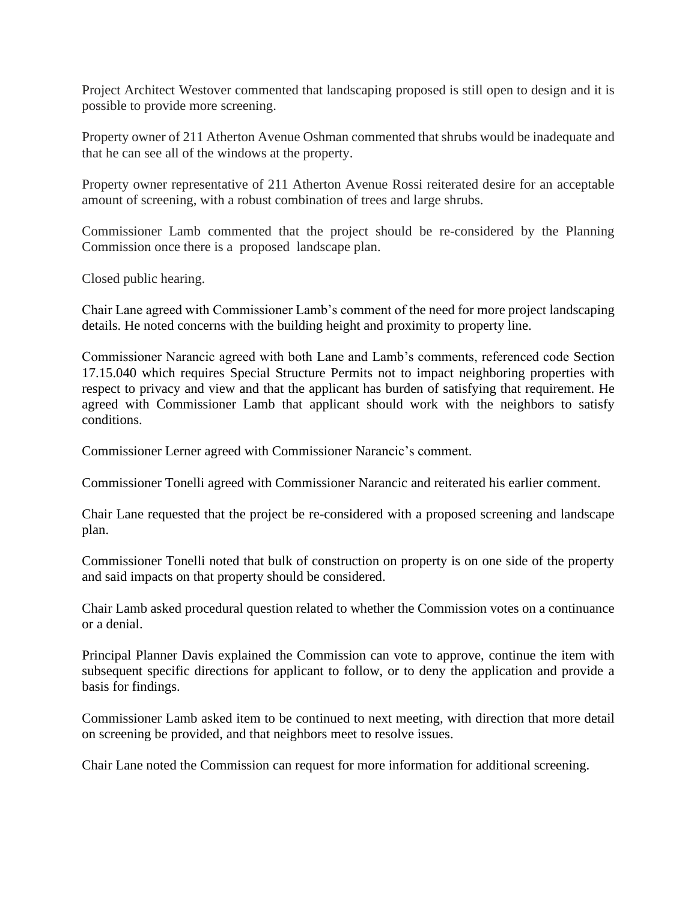Project Architect Westover commented that landscaping proposed is still open to design and it is possible to provide more screening.

Property owner of 211 Atherton Avenue Oshman commented that shrubs would be inadequate and that he can see all of the windows at the property.

Property owner representative of 211 Atherton Avenue Rossi reiterated desire for an acceptable amount of screening, with a robust combination of trees and large shrubs.

Commissioner Lamb commented that the project should be re-considered by the Planning Commission once there is a proposed landscape plan.

Closed public hearing.

Chair Lane agreed with Commissioner Lamb's comment of the need for more project landscaping details. He noted concerns with the building height and proximity to property line.

Commissioner Narancic agreed with both Lane and Lamb's comments, referenced code Section 17.15.040 which requires Special Structure Permits not to impact neighboring properties with respect to privacy and view and that the applicant has burden of satisfying that requirement. He agreed with Commissioner Lamb that applicant should work with the neighbors to satisfy conditions.

Commissioner Lerner agreed with Commissioner Narancic's comment.

Commissioner Tonelli agreed with Commissioner Narancic and reiterated his earlier comment.

Chair Lane requested that the project be re-considered with a proposed screening and landscape plan.

Commissioner Tonelli noted that bulk of construction on property is on one side of the property and said impacts on that property should be considered.

Chair Lamb asked procedural question related to whether the Commission votes on a continuance or a denial.

Principal Planner Davis explained the Commission can vote to approve, continue the item with subsequent specific directions for applicant to follow, or to deny the application and provide a basis for findings.

Commissioner Lamb asked item to be continued to next meeting, with direction that more detail on screening be provided, and that neighbors meet to resolve issues.

Chair Lane noted the Commission can request for more information for additional screening.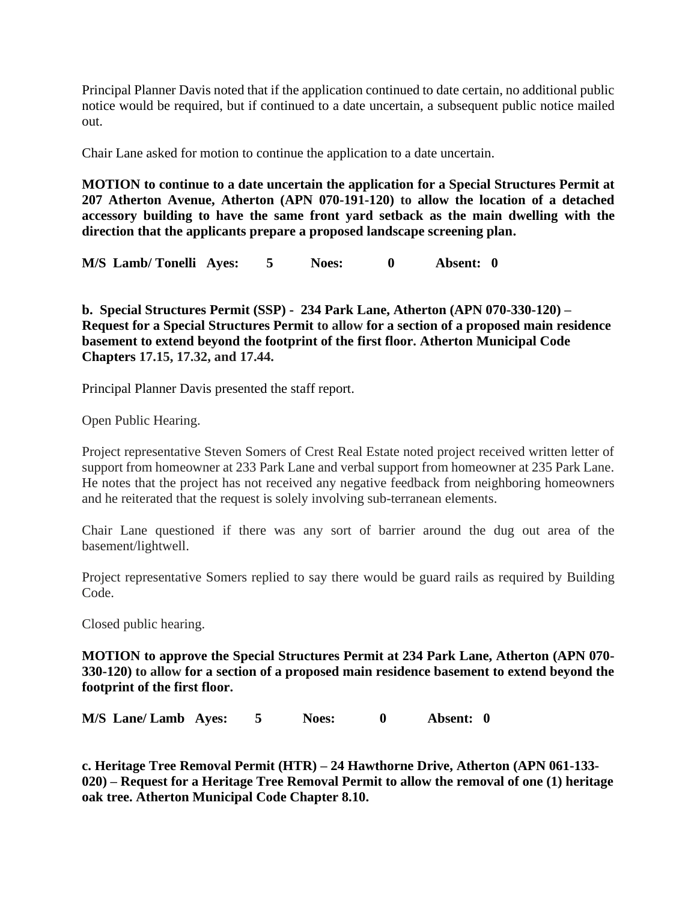Principal Planner Davis noted that if the application continued to date certain, no additional public notice would be required, but if continued to a date uncertain, a subsequent public notice mailed out.

Chair Lane asked for motion to continue the application to a date uncertain.

**MOTION to continue to a date uncertain the application for a Special Structures Permit at 207 Atherton Avenue, Atherton (APN 070-191-120) to allow the location of a detached accessory building to have the same front yard setback as the main dwelling with the direction that the applicants prepare a proposed landscape screening plan.** 

**M/S Lamb/ Tonelli Ayes: 5 Noes: 0 Absent: 0**

**b. Special Structures Permit (SSP) - 234 Park Lane, Atherton (APN 070-330-120) – Request for a Special Structures Permit to allow for a section of a proposed main residence basement to extend beyond the footprint of the first floor. Atherton Municipal Code Chapters 17.15, 17.32, and 17.44.**

Principal Planner Davis presented the staff report.

Open Public Hearing.

Project representative Steven Somers of Crest Real Estate noted project received written letter of support from homeowner at 233 Park Lane and verbal support from homeowner at 235 Park Lane. He notes that the project has not received any negative feedback from neighboring homeowners and he reiterated that the request is solely involving sub-terranean elements.

Chair Lane questioned if there was any sort of barrier around the dug out area of the basement/lightwell.

Project representative Somers replied to say there would be guard rails as required by Building Code.

Closed public hearing.

**MOTION to approve the Special Structures Permit at 234 Park Lane, Atherton (APN 070- 330-120) to allow for a section of a proposed main residence basement to extend beyond the footprint of the first floor.**

**M/S Lane/ Lamb Ayes: 5 Noes: 0 Absent: 0**

**c. Heritage Tree Removal Permit (HTR) – 24 Hawthorne Drive, Atherton (APN 061-133- 020) – Request for a Heritage Tree Removal Permit to allow the removal of one (1) heritage oak tree. Atherton Municipal Code Chapter 8.10.**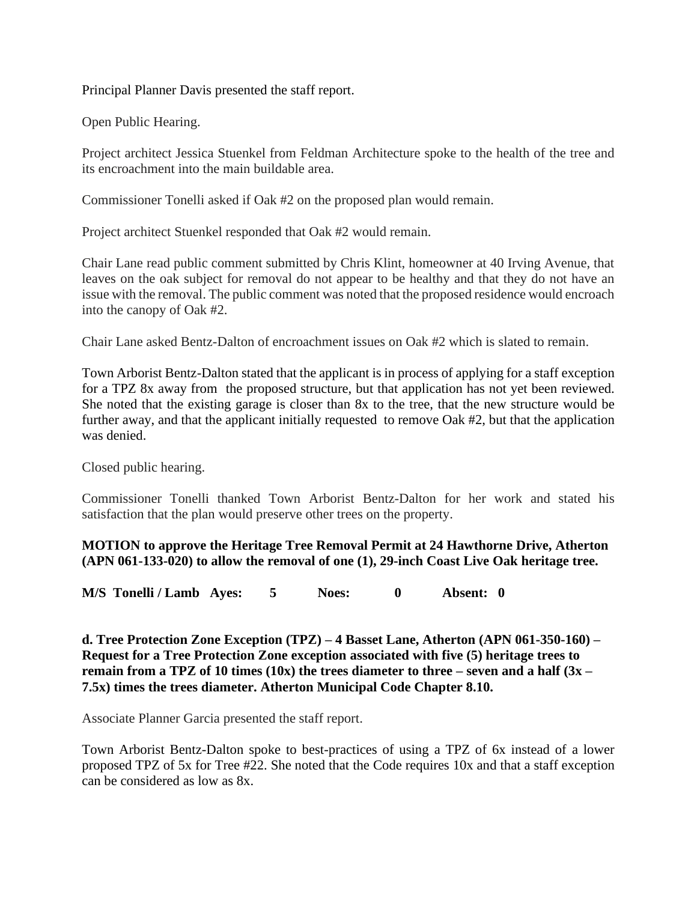Principal Planner Davis presented the staff report.

Open Public Hearing.

Project architect Jessica Stuenkel from Feldman Architecture spoke to the health of the tree and its encroachment into the main buildable area.

Commissioner Tonelli asked if Oak #2 on the proposed plan would remain.

Project architect Stuenkel responded that Oak #2 would remain.

Chair Lane read public comment submitted by Chris Klint, homeowner at 40 Irving Avenue, that leaves on the oak subject for removal do not appear to be healthy and that they do not have an issue with the removal. The public comment was noted that the proposed residence would encroach into the canopy of Oak #2.

Chair Lane asked Bentz-Dalton of encroachment issues on Oak #2 which is slated to remain.

Town Arborist Bentz-Dalton stated that the applicant is in process of applying for a staff exception for a TPZ 8x away from the proposed structure, but that application has not yet been reviewed. She noted that the existing garage is closer than 8x to the tree, that the new structure would be further away, and that the applicant initially requested to remove Oak #2, but that the application was denied.

Closed public hearing.

Commissioner Tonelli thanked Town Arborist Bentz-Dalton for her work and stated his satisfaction that the plan would preserve other trees on the property.

**MOTION to approve the Heritage Tree Removal Permit at 24 Hawthorne Drive, Atherton (APN 061-133-020) to allow the removal of one (1), 29-inch Coast Live Oak heritage tree.**

**M/S Tonelli / Lamb Ayes: 5 Noes: 0 Absent: 0**

**d. Tree Protection Zone Exception (TPZ) – 4 Basset Lane, Atherton (APN 061-350-160) – Request for a Tree Protection Zone exception associated with five (5) heritage trees to remain from a TPZ of 10 times (10x) the trees diameter to three – seven and a half (3x – 7.5x) times the trees diameter. Atherton Municipal Code Chapter 8.10.**

Associate Planner Garcia presented the staff report.

Town Arborist Bentz-Dalton spoke to best-practices of using a TPZ of 6x instead of a lower proposed TPZ of 5x for Tree #22. She noted that the Code requires 10x and that a staff exception can be considered as low as 8x.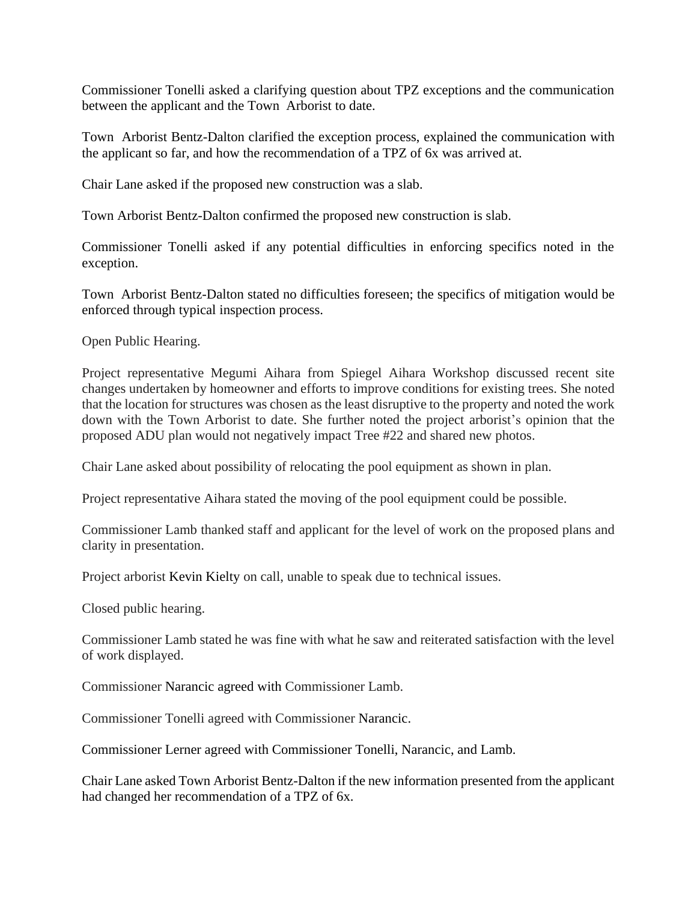Commissioner Tonelli asked a clarifying question about TPZ exceptions and the communication between the applicant and the Town Arborist to date.

Town Arborist Bentz-Dalton clarified the exception process, explained the communication with the applicant so far, and how the recommendation of a TPZ of 6x was arrived at.

Chair Lane asked if the proposed new construction was a slab.

Town Arborist Bentz-Dalton confirmed the proposed new construction is slab.

Commissioner Tonelli asked if any potential difficulties in enforcing specifics noted in the exception.

Town Arborist Bentz-Dalton stated no difficulties foreseen; the specifics of mitigation would be enforced through typical inspection process.

Open Public Hearing.

Project representative Megumi Aihara from Spiegel Aihara Workshop discussed recent site changes undertaken by homeowner and efforts to improve conditions for existing trees. She noted that the location for structures was chosen as the least disruptive to the property and noted the work down with the Town Arborist to date. She further noted the project arborist's opinion that the proposed ADU plan would not negatively impact Tree #22 and shared new photos.

Chair Lane asked about possibility of relocating the pool equipment as shown in plan.

Project representative Aihara stated the moving of the pool equipment could be possible.

Commissioner Lamb thanked staff and applicant for the level of work on the proposed plans and clarity in presentation.

Project arborist Kevin Kielty on call, unable to speak due to technical issues.

Closed public hearing.

Commissioner Lamb stated he was fine with what he saw and reiterated satisfaction with the level of work displayed.

Commissioner Narancic agreed with Commissioner Lamb.

Commissioner Tonelli agreed with Commissioner Narancic.

Commissioner Lerner agreed with Commissioner Tonelli, Narancic, and Lamb.

Chair Lane asked Town Arborist Bentz-Dalton if the new information presented from the applicant had changed her recommendation of a TPZ of 6x.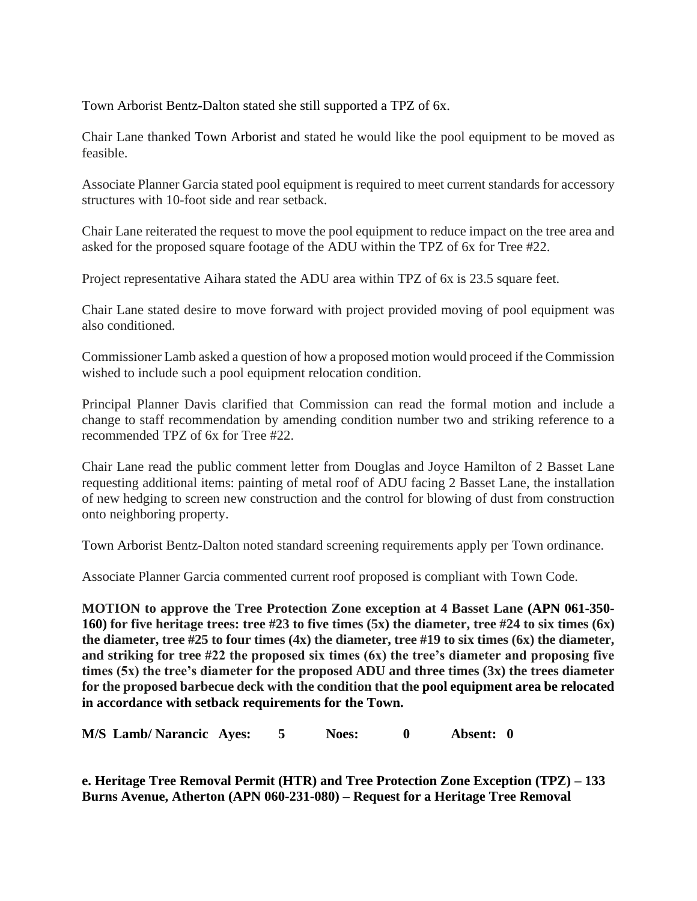Town Arborist Bentz-Dalton stated she still supported a TPZ of 6x.

Chair Lane thanked Town Arborist and stated he would like the pool equipment to be moved as feasible.

Associate Planner Garcia stated pool equipment is required to meet current standards for accessory structures with 10-foot side and rear setback.

Chair Lane reiterated the request to move the pool equipment to reduce impact on the tree area and asked for the proposed square footage of the ADU within the TPZ of 6x for Tree #22.

Project representative Aihara stated the ADU area within TPZ of 6x is 23.5 square feet.

Chair Lane stated desire to move forward with project provided moving of pool equipment was also conditioned.

Commissioner Lamb asked a question of how a proposed motion would proceed if the Commission wished to include such a pool equipment relocation condition.

Principal Planner Davis clarified that Commission can read the formal motion and include a change to staff recommendation by amending condition number two and striking reference to a recommended TPZ of 6x for Tree #22.

Chair Lane read the public comment letter from Douglas and Joyce Hamilton of 2 Basset Lane requesting additional items: painting of metal roof of ADU facing 2 Basset Lane, the installation of new hedging to screen new construction and the control for blowing of dust from construction onto neighboring property.

Town Arborist Bentz-Dalton noted standard screening requirements apply per Town ordinance.

Associate Planner Garcia commented current roof proposed is compliant with Town Code.

**MOTION to approve the Tree Protection Zone exception at 4 Basset Lane (APN 061-350- 160) for five heritage trees: tree #23 to five times (5x) the diameter, tree #24 to six times (6x) the diameter, tree #25 to four times (4x) the diameter, tree #19 to six times (6x) the diameter, and striking for tree #22 the proposed six times (6x) the tree's diameter and proposing five times (5x) the tree's diameter for the proposed ADU and three times (3x) the trees diameter for the proposed barbecue deck with the condition that the pool equipment area be relocated in accordance with setback requirements for the Town.**

**M/S Lamb/ Narancic Ayes: 5 Noes: 0 Absent: 0**

**e. Heritage Tree Removal Permit (HTR) and Tree Protection Zone Exception (TPZ) – 133 Burns Avenue, Atherton (APN 060-231-080) – Request for a Heritage Tree Removal**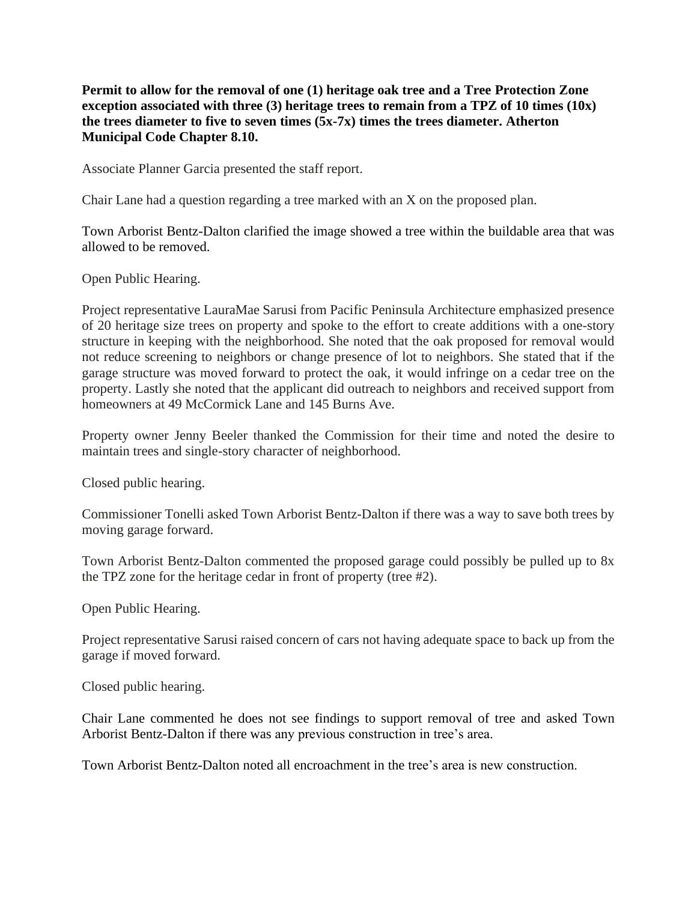**Permit to allow for the removal of one (1) heritage oak tree and a Tree Protection Zone exception associated with three (3) heritage trees to remain from a TPZ of 10 times (10x) the trees diameter to five to seven times (5x-7x) times the trees diameter. Atherton Municipal Code Chapter 8.10.**

Associate Planner Garcia presented the staff report.

Chair Lane had a question regarding a tree marked with an X on the proposed plan.

Town Arborist Bentz-Dalton clarified the image showed a tree within the buildable area that was allowed to be removed.

Open Public Hearing.

Project representative LauraMae Sarusi from Pacific Peninsula Architecture emphasized presence of 20 heritage size trees on property and spoke to the effort to create additions with a one-story structure in keeping with the neighborhood. She noted that the oak proposed for removal would not reduce screening to neighbors or change presence of lot to neighbors. She stated that if the garage structure was moved forward to protect the oak, it would infringe on a cedar tree on the property. Lastly she noted that the applicant did outreach to neighbors and received support from homeowners at 49 McCormick Lane and 145 Burns Ave.

Property owner Jenny Beeler thanked the Commission for their time and noted the desire to maintain trees and single-story character of neighborhood.

Closed public hearing.

Commissioner Tonelli asked Town Arborist Bentz-Dalton if there was a way to save both trees by moving garage forward.

Town Arborist Bentz-Dalton commented the proposed garage could possibly be pulled up to 8x the TPZ zone for the heritage cedar in front of property (tree #2).

Open Public Hearing.

Project representative Sarusi raised concern of cars not having adequate space to back up from the garage if moved forward.

Closed public hearing.

Chair Lane commented he does not see findings to support removal of tree and asked Town Arborist Bentz-Dalton if there was any previous construction in tree's area.

Town Arborist Bentz-Dalton noted all encroachment in the tree's area is new construction.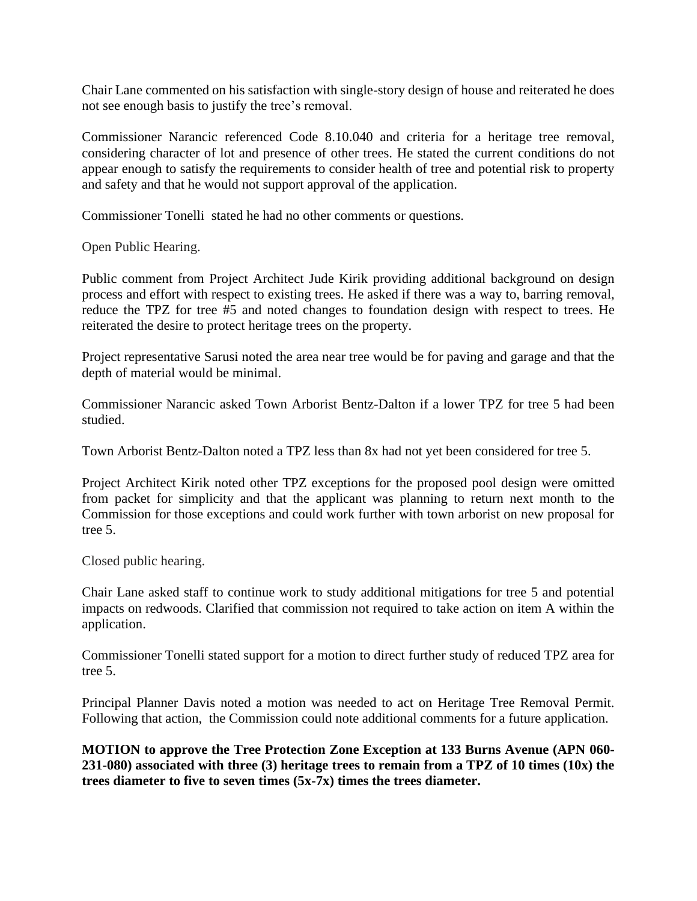Chair Lane commented on his satisfaction with single-story design of house and reiterated he does not see enough basis to justify the tree's removal.

Commissioner Narancic referenced Code 8.10.040 and criteria for a heritage tree removal, considering character of lot and presence of other trees. He stated the current conditions do not appear enough to satisfy the requirements to consider health of tree and potential risk to property and safety and that he would not support approval of the application.

Commissioner Tonelli stated he had no other comments or questions.

Open Public Hearing.

Public comment from Project Architect Jude Kirik providing additional background on design process and effort with respect to existing trees. He asked if there was a way to, barring removal, reduce the TPZ for tree #5 and noted changes to foundation design with respect to trees. He reiterated the desire to protect heritage trees on the property.

Project representative Sarusi noted the area near tree would be for paving and garage and that the depth of material would be minimal.

Commissioner Narancic asked Town Arborist Bentz-Dalton if a lower TPZ for tree 5 had been studied.

Town Arborist Bentz-Dalton noted a TPZ less than 8x had not yet been considered for tree 5.

Project Architect Kirik noted other TPZ exceptions for the proposed pool design were omitted from packet for simplicity and that the applicant was planning to return next month to the Commission for those exceptions and could work further with town arborist on new proposal for tree 5.

Closed public hearing.

Chair Lane asked staff to continue work to study additional mitigations for tree 5 and potential impacts on redwoods. Clarified that commission not required to take action on item A within the application.

Commissioner Tonelli stated support for a motion to direct further study of reduced TPZ area for tree 5.

Principal Planner Davis noted a motion was needed to act on Heritage Tree Removal Permit. Following that action, the Commission could note additional comments for a future application.

**MOTION to approve the Tree Protection Zone Exception at 133 Burns Avenue (APN 060- 231-080) associated with three (3) heritage trees to remain from a TPZ of 10 times (10x) the trees diameter to five to seven times (5x-7x) times the trees diameter.**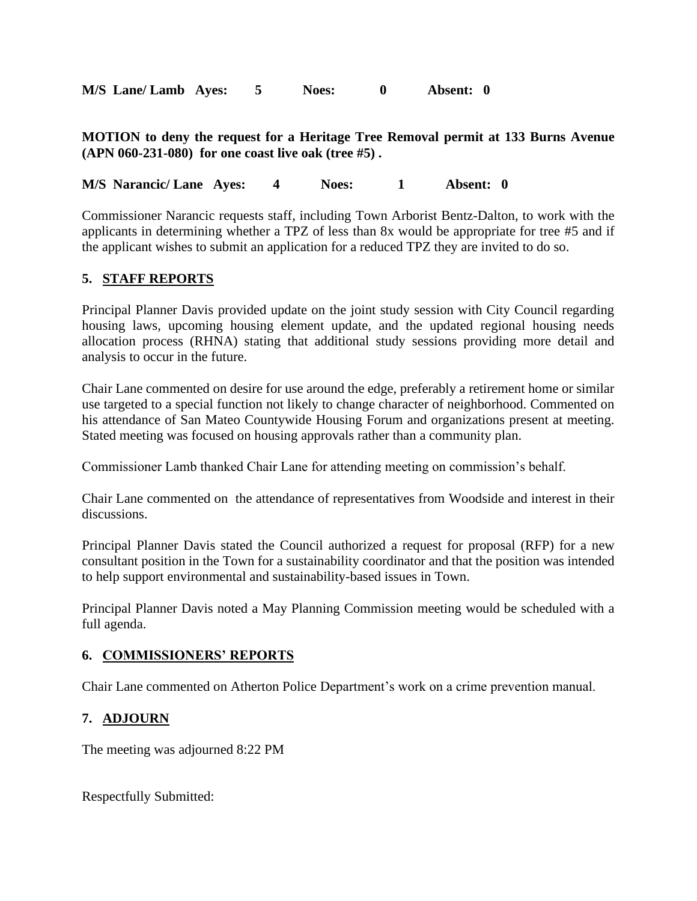**M/S Lane/ Lamb Ayes: 5 Noes: 0 Absent: 0**

**MOTION to deny the request for a Heritage Tree Removal permit at 133 Burns Avenue (APN 060-231-080) for one coast live oak (tree #5) .**

**M/S Narancic/ Lane Ayes: 4 Noes: 1 Absent: 0**

Commissioner Narancic requests staff, including Town Arborist Bentz-Dalton, to work with the applicants in determining whether a TPZ of less than 8x would be appropriate for tree #5 and if the applicant wishes to submit an application for a reduced TPZ they are invited to do so.

## **5. STAFF REPORTS**

Principal Planner Davis provided update on the joint study session with City Council regarding housing laws, upcoming housing element update, and the updated regional housing needs allocation process (RHNA) stating that additional study sessions providing more detail and analysis to occur in the future.

Chair Lane commented on desire for use around the edge, preferably a retirement home or similar use targeted to a special function not likely to change character of neighborhood. Commented on his attendance of San Mateo Countywide Housing Forum and organizations present at meeting. Stated meeting was focused on housing approvals rather than a community plan.

Commissioner Lamb thanked Chair Lane for attending meeting on commission's behalf.

Chair Lane commented on the attendance of representatives from Woodside and interest in their discussions.

Principal Planner Davis stated the Council authorized a request for proposal (RFP) for a new consultant position in the Town for a sustainability coordinator and that the position was intended to help support environmental and sustainability-based issues in Town.

Principal Planner Davis noted a May Planning Commission meeting would be scheduled with a full agenda.

#### **6. COMMISSIONERS' REPORTS**

Chair Lane commented on Atherton Police Department's work on a crime prevention manual.

# **7. ADJOURN**

The meeting was adjourned 8:22 PM

Respectfully Submitted: